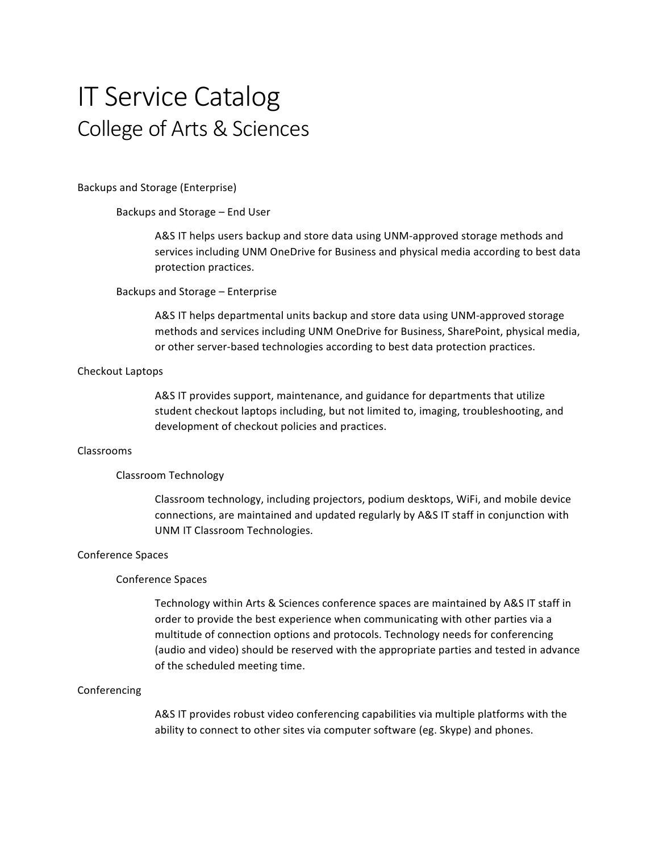# **IT Service Catalog** College of Arts & Sciences

Backups and Storage (Enterprise)

Backups and Storage – End User

A&S IT helps users backup and store data using UNM-approved storage methods and services including UNM OneDrive for Business and physical media according to best data protection practices.

#### Backups and Storage – Enterprise

A&S IT helps departmental units backup and store data using UNM-approved storage methods and services including UNM OneDrive for Business, SharePoint, physical media, or other server-based technologies according to best data protection practices.

## Checkout Laptops

A&S IT provides support, maintenance, and guidance for departments that utilize student checkout laptops including, but not limited to, imaging, troubleshooting, and development of checkout policies and practices.

# Classrooms

#### Classroom Technology

Classroom technology, including projectors, podium desktops, WiFi, and mobile device connections, are maintained and updated regularly by A&S IT staff in conjunction with UNM IT Classroom Technologies.

#### Conference Spaces

#### Conference Spaces

Technology within Arts & Sciences conference spaces are maintained by A&S IT staff in order to provide the best experience when communicating with other parties via a multitude of connection options and protocols. Technology needs for conferencing (audio and video) should be reserved with the appropriate parties and tested in advance of the scheduled meeting time.

#### Conferencing

A&S IT provides robust video conferencing capabilities via multiple platforms with the ability to connect to other sites via computer software (eg. Skype) and phones.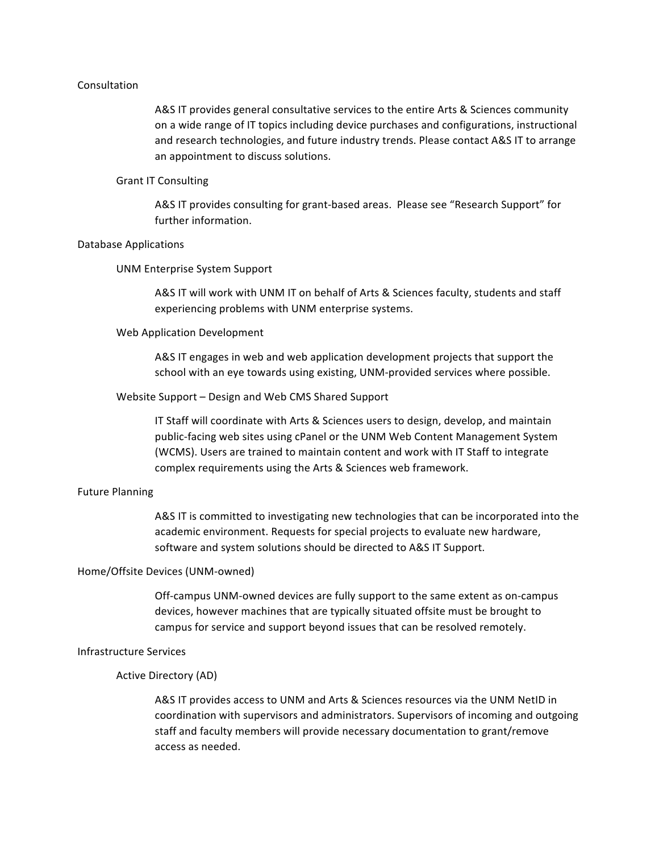# Consultation

A&S IT provides general consultative services to the entire Arts & Sciences community on a wide range of IT topics including device purchases and configurations, instructional and research technologies, and future industry trends. Please contact A&S IT to arrange an appointment to discuss solutions.

## Grant IT Consulting

A&S IT provides consulting for grant-based areas. Please see "Research Support" for further information.

# Database Applications

# UNM Enterprise System Support

A&S IT will work with UNM IT on behalf of Arts & Sciences faculty, students and staff experiencing problems with UNM enterprise systems.

# Web Application Development

A&S IT engages in web and web application development projects that support the school with an eye towards using existing, UNM-provided services where possible.

# Website Support - Design and Web CMS Shared Support

IT Staff will coordinate with Arts & Sciences users to design, develop, and maintain public-facing web sites using cPanel or the UNM Web Content Management System (WCMS). Users are trained to maintain content and work with IT Staff to integrate complex requirements using the Arts & Sciences web framework.

# Future Planning

A&S IT is committed to investigating new technologies that can be incorporated into the academic environment. Requests for special projects to evaluate new hardware, software and system solutions should be directed to A&S IT Support.

### Home/Offsite Devices (UNM-owned)

Off-campus UNM-owned devices are fully support to the same extent as on-campus devices, however machines that are typically situated offsite must be brought to campus for service and support beyond issues that can be resolved remotely.

# Infrastructure Services

# Active Directory (AD)

A&S IT provides access to UNM and Arts & Sciences resources via the UNM NetID in coordination with supervisors and administrators. Supervisors of incoming and outgoing staff and faculty members will provide necessary documentation to grant/remove access as needed.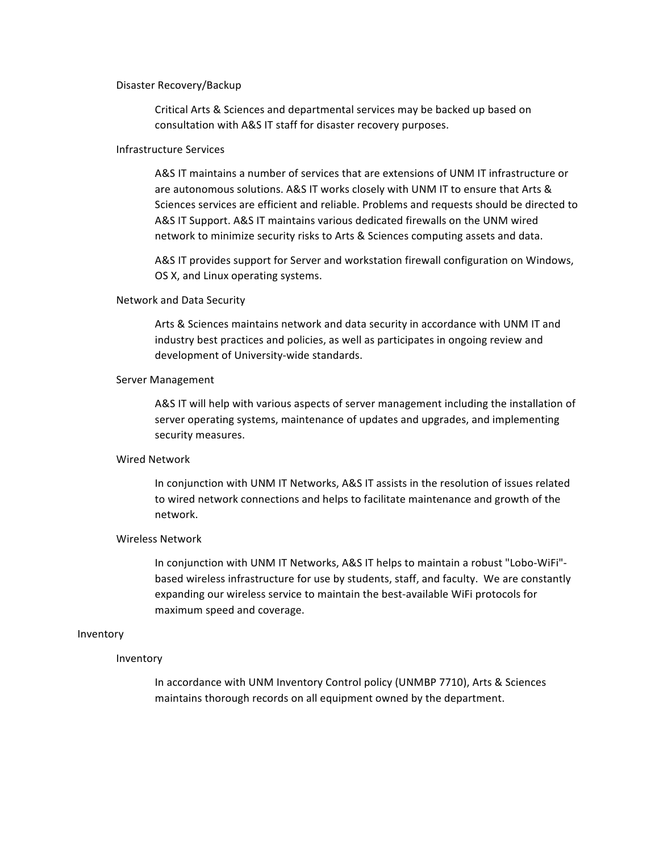#### Disaster Recovery/Backup

Critical Arts & Sciences and departmental services may be backed up based on consultation with A&S IT staff for disaster recovery purposes.

# Infrastructure Services

A&S IT maintains a number of services that are extensions of UNM IT infrastructure or are autonomous solutions. A&S IT works closely with UNM IT to ensure that Arts & Sciences services are efficient and reliable. Problems and requests should be directed to A&S IT Support. A&S IT maintains various dedicated firewalls on the UNM wired network to minimize security risks to Arts & Sciences computing assets and data.

A&S IT provides support for Server and workstation firewall configuration on Windows, OS X, and Linux operating systems.

#### Network and Data Security

Arts & Sciences maintains network and data security in accordance with UNM IT and industry best practices and policies, as well as participates in ongoing review and development of University-wide standards.

## Server Management

A&S IT will help with various aspects of server management including the installation of server operating systems, maintenance of updates and upgrades, and implementing security measures.

# Wired Network

In conjunction with UNM IT Networks, A&S IT assists in the resolution of issues related to wired network connections and helps to facilitate maintenance and growth of the network.

# Wireless Network

In conjunction with UNM IT Networks, A&S IT helps to maintain a robust "Lobo-WiFi"based wireless infrastructure for use by students, staff, and faculty. We are constantly expanding our wireless service to maintain the best-available WiFi protocols for maximum speed and coverage.

# Inventory

# Inventory

In accordance with UNM Inventory Control policy (UNMBP 7710), Arts & Sciences maintains thorough records on all equipment owned by the department.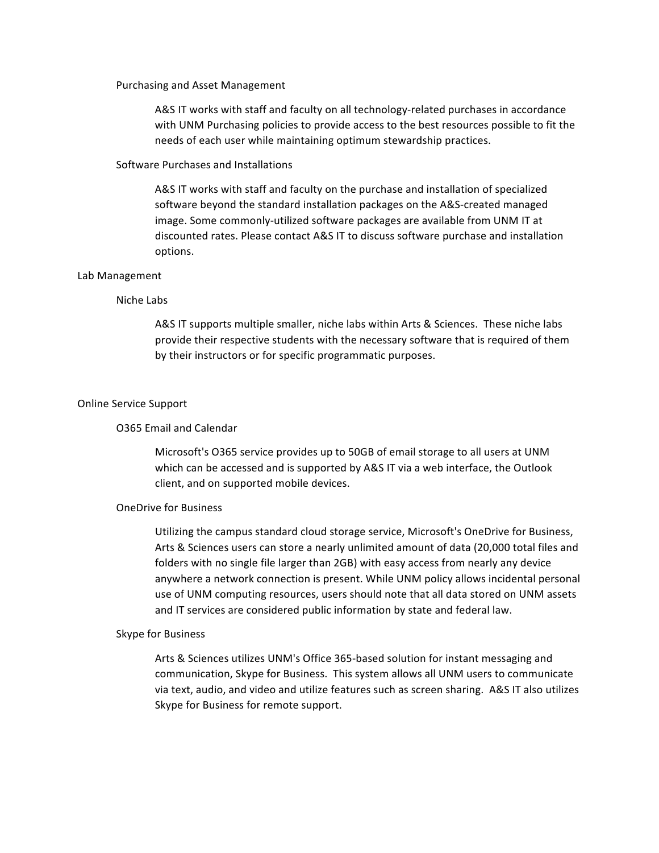#### Purchasing and Asset Management

A&S IT works with staff and faculty on all technology-related purchases in accordance with UNM Purchasing policies to provide access to the best resources possible to fit the needs of each user while maintaining optimum stewardship practices.

# Software Purchases and Installations

A&S IT works with staff and faculty on the purchase and installation of specialized software beyond the standard installation packages on the A&S-created managed image. Some commonly-utilized software packages are available from UNM IT at discounted rates. Please contact A&S IT to discuss software purchase and installation options.

#### Lab Management

#### Niche Labs

A&S IT supports multiple smaller, niche labs within Arts & Sciences. These niche labs provide their respective students with the necessary software that is required of them by their instructors or for specific programmatic purposes.

## Online Service Support

## O365 Email and Calendar

Microsoft's O365 service provides up to 50GB of email storage to all users at UNM which can be accessed and is supported by A&S IT via a web interface, the Outlook client, and on supported mobile devices.

# OneDrive for Business

Utilizing the campus standard cloud storage service, Microsoft's OneDrive for Business, Arts & Sciences users can store a nearly unlimited amount of data (20,000 total files and folders with no single file larger than 2GB) with easy access from nearly any device anywhere a network connection is present. While UNM policy allows incidental personal use of UNM computing resources, users should note that all data stored on UNM assets and IT services are considered public information by state and federal law.

## Skype for Business

Arts & Sciences utilizes UNM's Office 365-based solution for instant messaging and communication, Skype for Business. This system allows all UNM users to communicate via text, audio, and video and utilize features such as screen sharing. A&S IT also utilizes Skype for Business for remote support.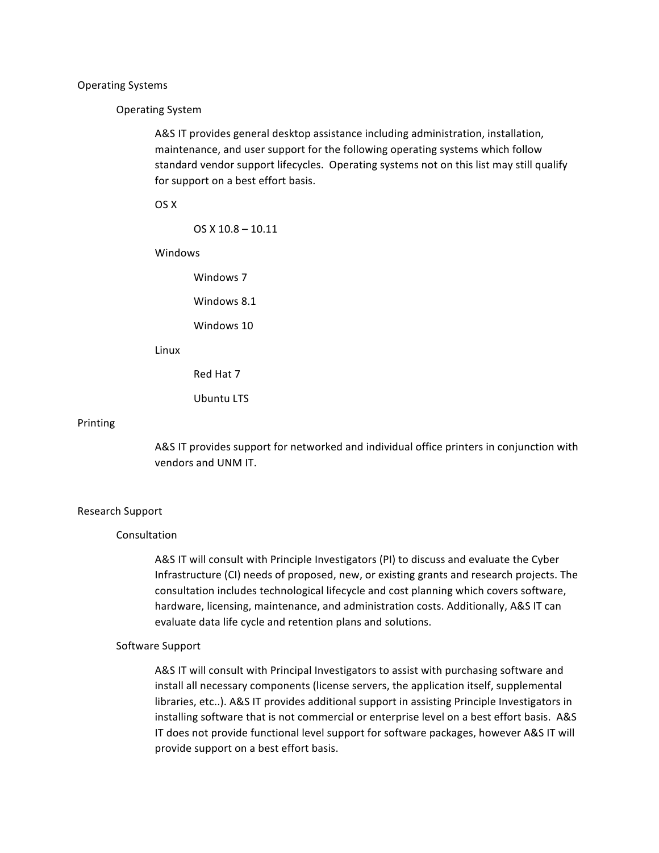#### Operating Systems

### Operating System

A&S IT provides general desktop assistance including administration, installation, maintenance, and user support for the following operating systems which follow standard vendor support lifecycles. Operating systems not on this list may still qualify for support on a best effort basis.

OS X

 $OS X 10.8 - 10.11$ 

Windows

Windows 7

Windows 8.1

Windows 10

Linux

Red Hat 7

Ubuntu LTS

#### Printing

A&S IT provides support for networked and individual office printers in conjunction with vendors and UNM IT.

#### Research Support

# Consultation

A&S IT will consult with Principle Investigators (PI) to discuss and evaluate the Cyber Infrastructure (CI) needs of proposed, new, or existing grants and research projects. The consultation includes technological lifecycle and cost planning which covers software, hardware, licensing, maintenance, and administration costs. Additionally, A&S IT can evaluate data life cycle and retention plans and solutions.

# Software Support

A&S IT will consult with Principal Investigators to assist with purchasing software and install all necessary components (license servers, the application itself, supplemental libraries, etc..). A&S IT provides additional support in assisting Principle Investigators in installing software that is not commercial or enterprise level on a best effort basis. A&S IT does not provide functional level support for software packages, however A&S IT will provide support on a best effort basis.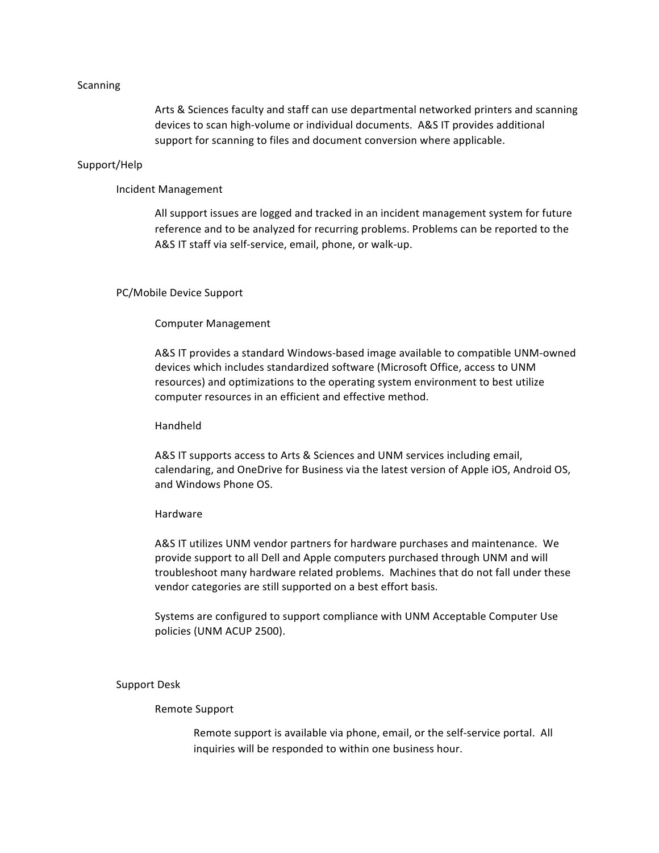## Scanning

Arts & Sciences faculty and staff can use departmental networked printers and scanning devices to scan high-volume or individual documents. A&S IT provides additional support for scanning to files and document conversion where applicable.

# Support/Help

# Incident Management

All support issues are logged and tracked in an incident management system for future reference and to be analyzed for recurring problems. Problems can be reported to the A&S IT staff via self-service, email, phone, or walk-up.

# PC/Mobile Device Support

# Computer Management

A&S IT provides a standard Windows-based image available to compatible UNM-owned devices which includes standardized software (Microsoft Office, access to UNM resources) and optimizations to the operating system environment to best utilize computer resources in an efficient and effective method.

# Handheld

A&S IT supports access to Arts & Sciences and UNM services including email, calendaring, and OneDrive for Business via the latest version of Apple iOS, Android OS, and Windows Phone OS.

## Hardware

A&S IT utilizes UNM vendor partners for hardware purchases and maintenance. We provide support to all Dell and Apple computers purchased through UNM and will troubleshoot many hardware related problems. Machines that do not fall under these vendor categories are still supported on a best effort basis.

Systems are configured to support compliance with UNM Acceptable Computer Use policies (UNM ACUP 2500).

### Support Desk

# Remote Support

Remote support is available via phone, email, or the self-service portal. All inquiries will be responded to within one business hour.